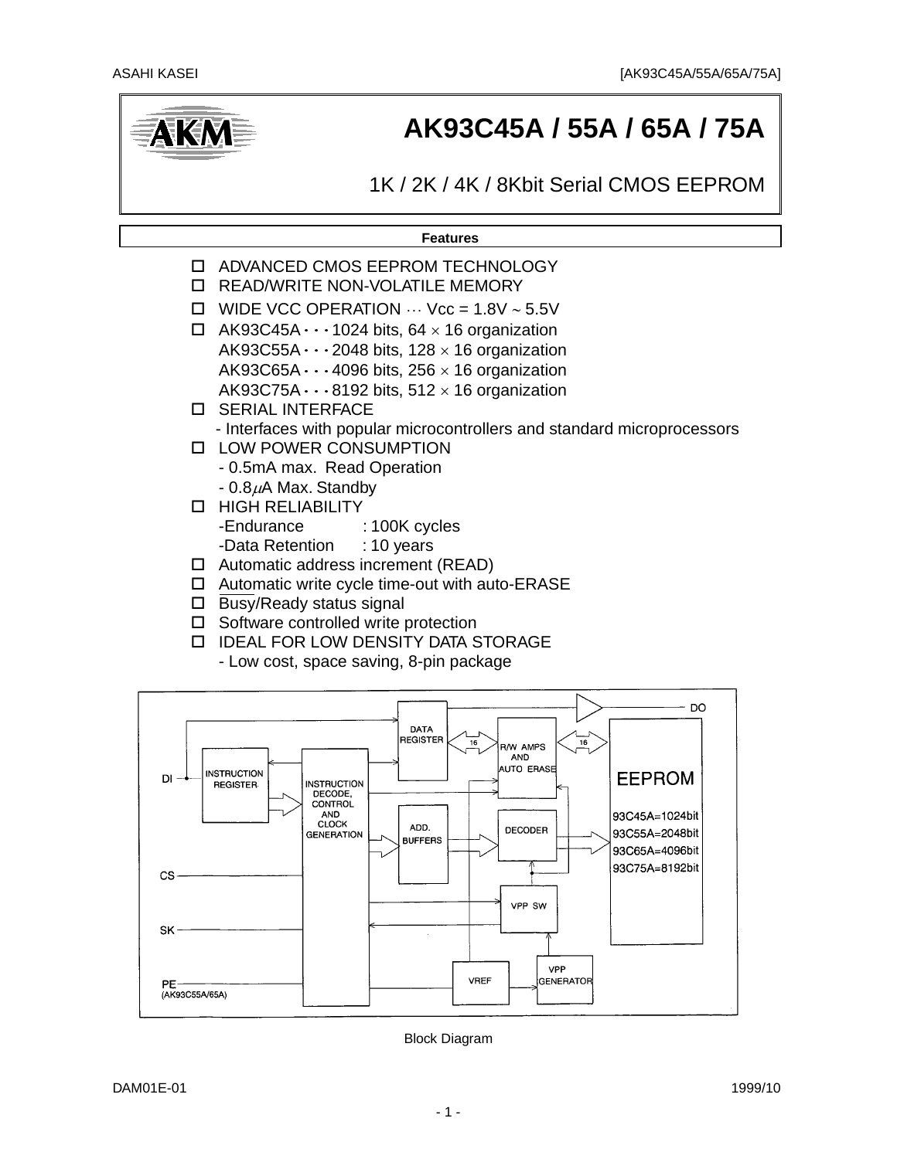

# **AK93C45A / 55A / 65A / 75A**

1K / 2K / 4K / 8Kbit Serial CMOS EEPROM

**Features**



- IDEAL FOR LOW DENSITY DATA STORAGE
	- Low cost, space saving, 8-pin package



Block Diagram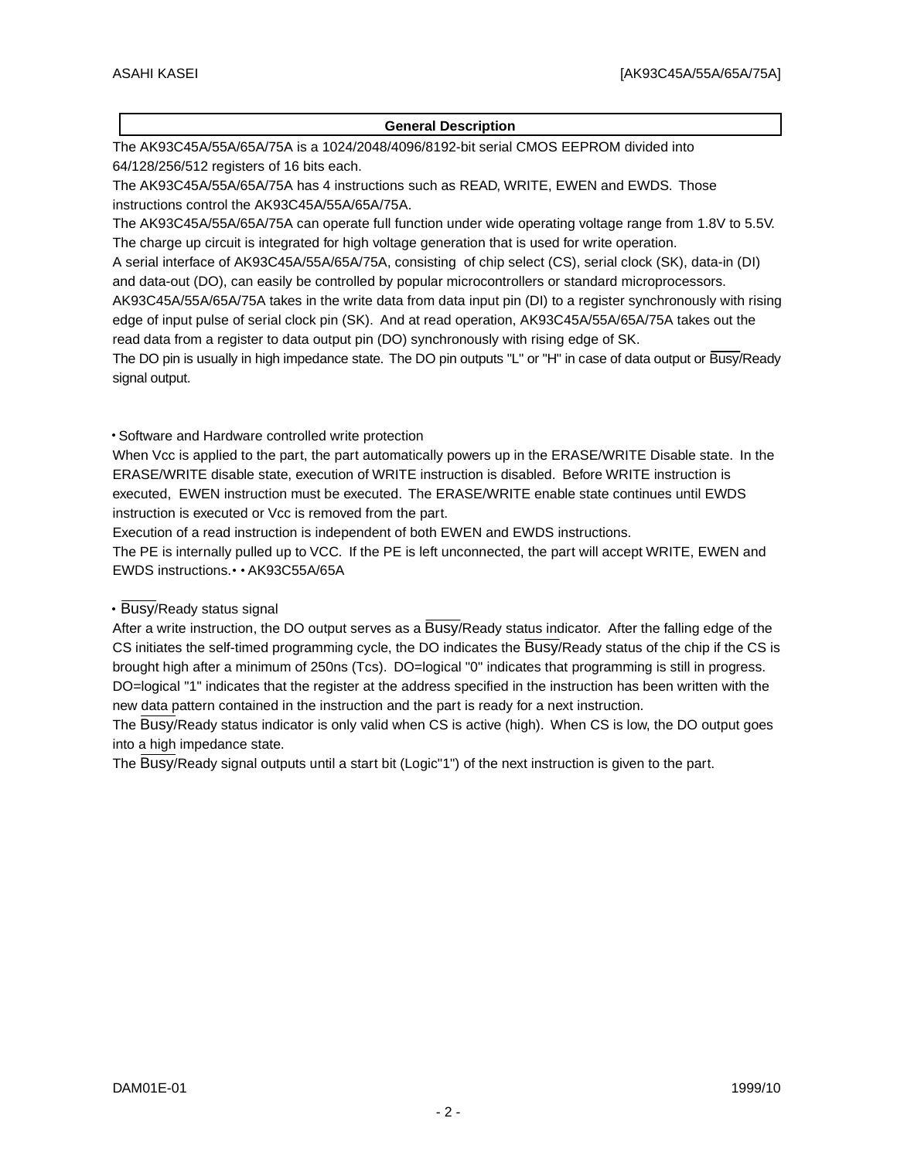#### **General Description**

The AK93C45A/55A/65A/75A is a 1024/2048/4096/8192-bit serial CMOS EEPROM divided into 64/128/256/512 registers of 16 bits each.

The AK93C45A/55A/65A/75A has 4 instructions such as READ, WRITE, EWEN and EWDS. Those instructions control the AK93C45A/55A/65A/75A.

The AK93C45A/55A/65A/75A can operate full function under wide operating voltage range from 1.8V to 5.5V. The charge up circuit is integrated for high voltage generation that is used for write operation.

A serial interface of AK93C45A/55A/65A/75A, consisting of chip select (CS), serial clock (SK), data-in (DI) and data-out (DO), can easily be controlled by popular microcontrollers or standard microprocessors.

AK93C45A/55A/65A/75A takes in the write data from data input pin (DI) to a register synchronously with rising edge of input pulse of serial clock pin (SK). And at read operation, AK93C45A/55A/65A/75A takes out the read data from a register to data output pin (DO) synchronously with rising edge of SK.

The DO pin is usually in high impedance state. The DO pin outputs "L" or "H" in case of data output or Busy/Ready signal output.

#### Software and Hardware controlled write protection

When Vcc is applied to the part, the part automatically powers up in the ERASE/WRITE Disable state. In the ERASE/WRITE disable state, execution of WRITE instruction is disabled. Before WRITE instruction is executed, EWEN instruction must be executed. The ERASE/WRITE enable state continues until EWDS instruction is executed or Vcc is removed from the part.

Execution of a read instruction is independent of both EWEN and EWDS instructions.

The PE is internally pulled up to VCC. If the PE is left unconnected, the part will accept WRITE, EWEN and EWDS instructions. • AK93C55A/65A

#### • Busy/Ready status signal

After a write instruction, the DO output serves as a Busy/Ready status indicator. After the falling edge of the CS initiates the self-timed programming cycle, the DO indicates the Busy/Ready status of the chip if the CS is brought high after a minimum of 250ns (Tcs). DO=logical "0" indicates that programming is still in progress. DO=logical "1" indicates that the register at the address specified in the instruction has been written with the new data pattern contained in the instruction and the part is ready for a next instruction.

The Busy/Ready status indicator is only valid when CS is active (high). When CS is low, the DO output goes into a high impedance state.

The Busy/Ready signal outputs until a start bit (Logic"1") of the next instruction is given to the part.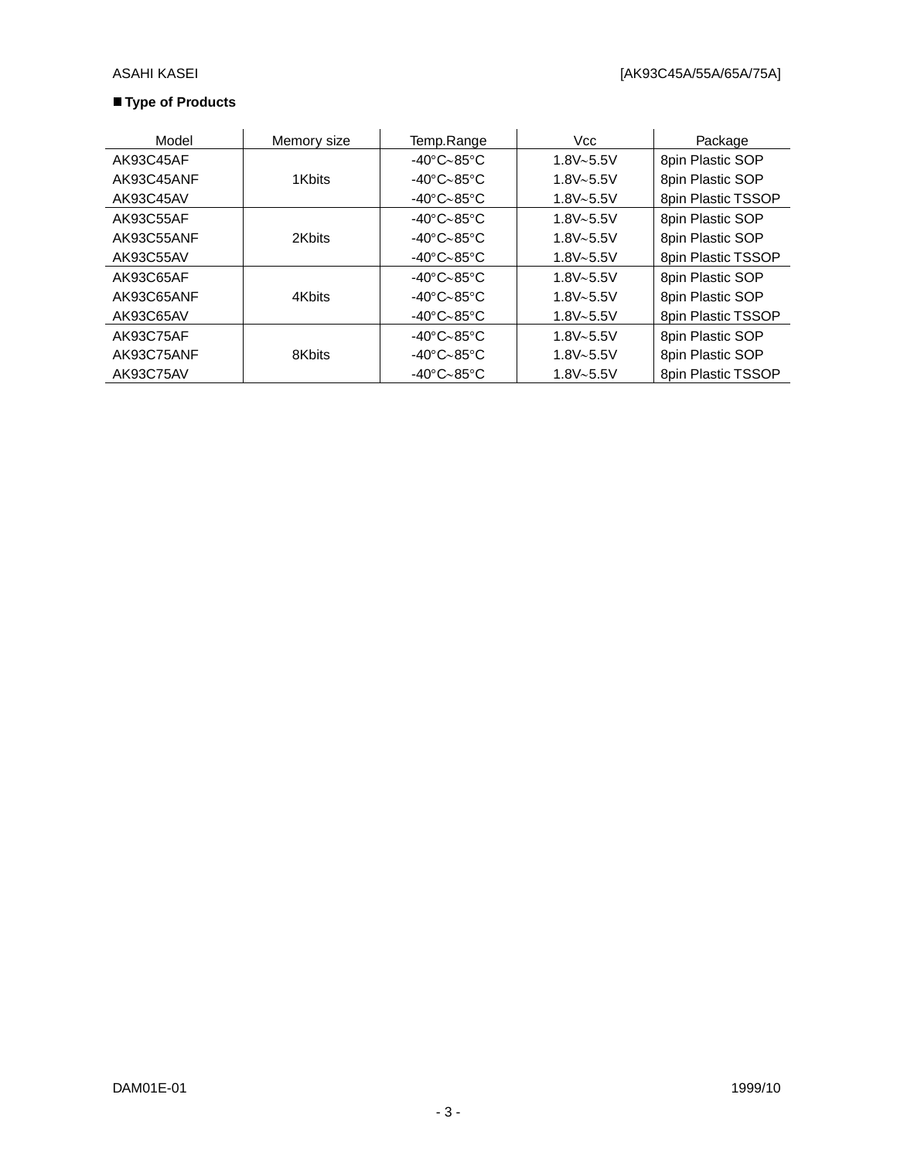### **Type of Products**

| Model      | Memory size | Temp.Range                             | Vcc           | Package            |
|------------|-------------|----------------------------------------|---------------|--------------------|
| AK93C45AF  |             | $-40^{\circ}$ C $\sim$ 85 $^{\circ}$ C | $1.8V - 5.5V$ | 8pin Plastic SOP   |
| AK93C45ANF | 1Kbits      | -40°C~85°C                             | $1.8V - 5.5V$ | 8pin Plastic SOP   |
| AK93C45AV  |             | $-40^{\circ}$ C $-85^{\circ}$ C        | $1.8V - 5.5V$ | 8pin Plastic TSSOP |
| AK93C55AF  |             | $-40^{\circ}$ C $\sim$ 85 $^{\circ}$ C | $1.8V - 5.5V$ | 8pin Plastic SOP   |
| AK93C55ANF | 2Kbits      | $-40^{\circ}$ C $\sim$ 85 $^{\circ}$ C | $1.8V - 5.5V$ | 8pin Plastic SOP   |
| AK93C55AV  |             | -40°C~85°C                             | $1.8V - 5.5V$ | 8pin Plastic TSSOP |
| AK93C65AF  |             | $-40^{\circ}$ C $\sim$ 85 $^{\circ}$ C | $1.8V - 5.5V$ | 8pin Plastic SOP   |
| AK93C65ANF | 4Kbits      | -40°C~85°C                             | $1.8V - 5.5V$ | 8pin Plastic SOP   |
| AK93C65AV  |             | $-40^{\circ}$ C $\sim$ 85 $^{\circ}$ C | $1.8V - 5.5V$ | 8pin Plastic TSSOP |
| AK93C75AF  |             | $-40^{\circ}$ C $\sim$ 85 $^{\circ}$ C | $1.8V - 5.5V$ | 8pin Plastic SOP   |
| AK93C75ANF | 8Kbits      | $-40^{\circ}$ C $\sim$ 85 $^{\circ}$ C | $1.8V - 5.5V$ | 8pin Plastic SOP   |
| AK93C75AV  |             | $-40^{\circ}$ C $\sim$ 85 $^{\circ}$ C | $1.8V - 5.5V$ | 8pin Plastic TSSOP |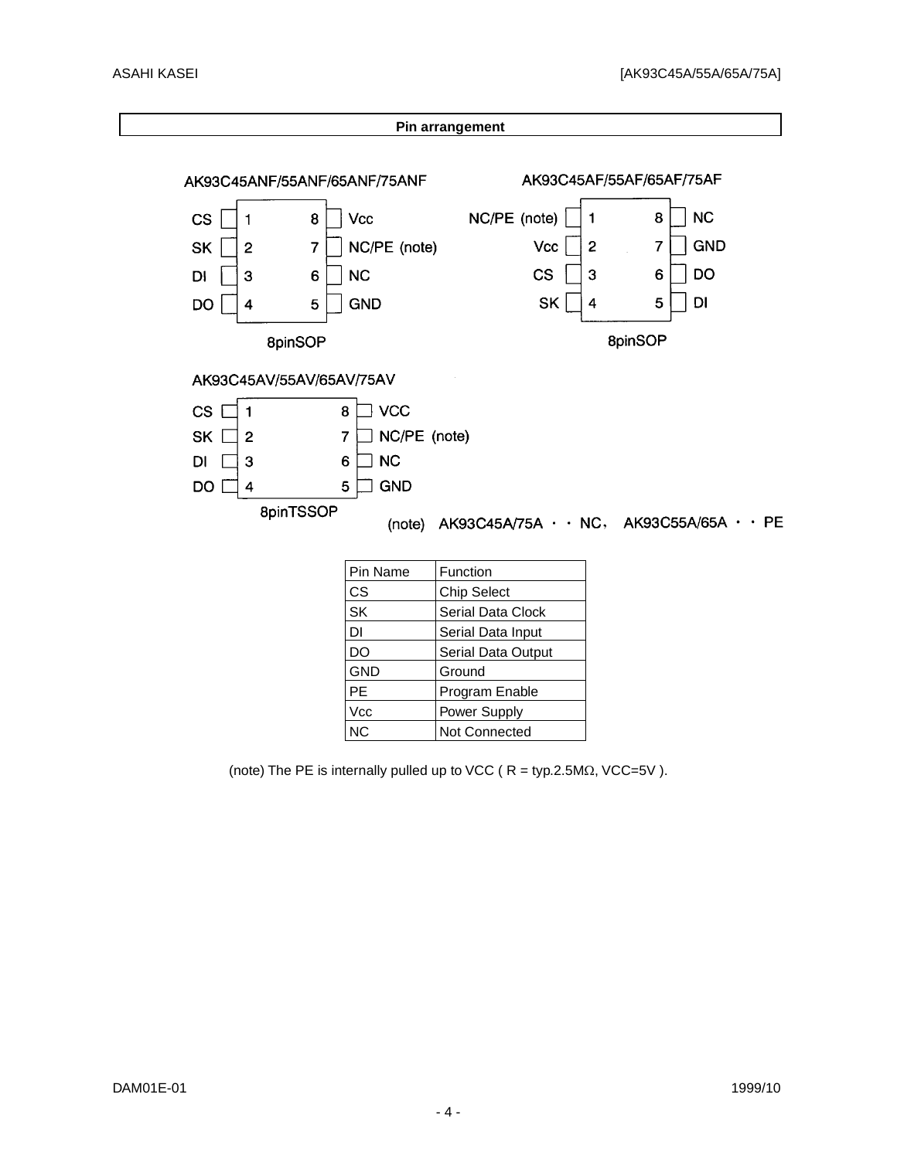

(note) The PE is internally pulled up to VCC ( $R = typ.2.5M\Omega$ , VCC=5V).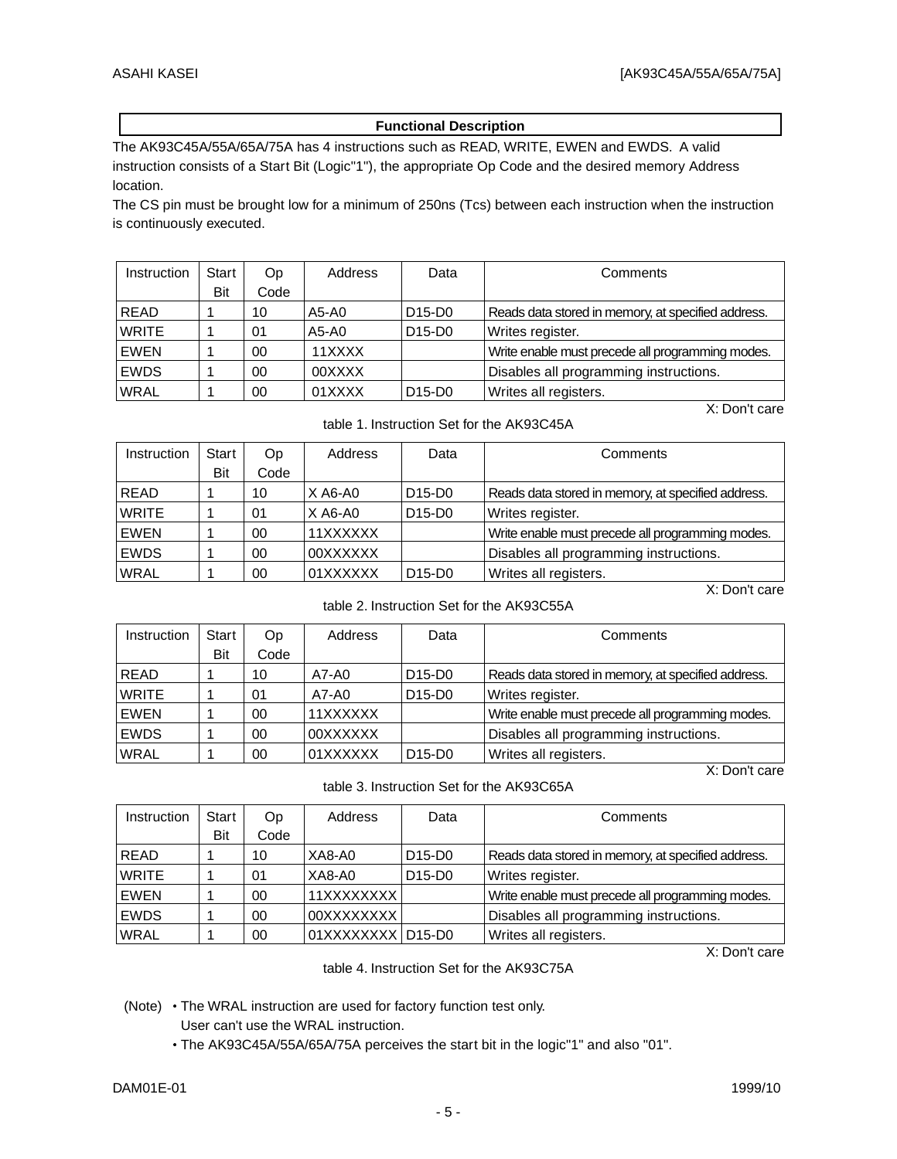#### **Functional Description**

The AK93C45A/55A/65A/75A has 4 instructions such as READ, WRITE, EWEN and EWDS. A valid instruction consists of a Start Bit (Logic"1"), the appropriate Op Code and the desired memory Address location.

The CS pin must be brought low for a minimum of 250ns (Tcs) between each instruction when the instruction is continuously executed.

| Instruction  | Start | Op.  | Address | Data                            | Comments                                           |
|--------------|-------|------|---------|---------------------------------|----------------------------------------------------|
|              | Bit   | Code |         |                                 |                                                    |
| <b>READ</b>  |       | 10   | A5-A0   | D <sub>15</sub> -D <sub>0</sub> | Reads data stored in memory, at specified address. |
| <b>WRITE</b> |       | 01   | A5-A0   | D <sub>15</sub> -D <sub>0</sub> | Writes register.                                   |
| EWEN         |       | 00   | 11XXXX  |                                 | Write enable must precede all programming modes.   |
| <b>EWDS</b>  |       | 00   | 00XXXX  |                                 | Disables all programming instructions.             |
| <b>WRAL</b>  |       | 00   | 01XXXX  | D <sub>15</sub> -D <sub>0</sub> | Writes all registers.                              |
|              |       |      |         |                                 | X: Don't care                                      |

table 1. Instruction Set for the AK93C45A

| Instruction  | Start | Op.  | Address   | Data                            | Comments                                           |
|--------------|-------|------|-----------|---------------------------------|----------------------------------------------------|
|              | Bit   | Code |           |                                 |                                                    |
| <b>READ</b>  |       | 10   | $X$ A6-A0 | D <sub>15</sub> -D <sub>0</sub> | Reads data stored in memory, at specified address. |
| <b>WRITE</b> |       | 01   | $X$ A6-A0 | D <sub>15</sub> -D <sub>0</sub> | Writes register.                                   |
| EWEN         |       | 00   | 11XXXXXX  |                                 | Write enable must precede all programming modes.   |
| <b>EWDS</b>  |       | 00   | 00XXXXXX  |                                 | Disables all programming instructions.             |
| <b>WRAL</b>  |       | 00   | 01XXXXXX  | D <sub>15</sub> -D <sub>0</sub> | Writes all registers.                              |

X: Don't care

table 2. Instruction Set for the AK93C55A

| Instruction  | Start | Op   | Address  | Data                            | Comments                                           |
|--------------|-------|------|----------|---------------------------------|----------------------------------------------------|
|              | Bit   | Code |          |                                 |                                                    |
| <b>READ</b>  |       | 10   | A7-A0    | D <sub>15</sub> -D <sub>0</sub> | Reads data stored in memory, at specified address. |
| <b>WRITE</b> |       | 01   | A7-A0    | D <sub>15</sub> -D <sub>0</sub> | Writes register.                                   |
| EWEN         |       | 00   | 11XXXXXX |                                 | Write enable must precede all programming modes.   |
| <b>EWDS</b>  |       | 00   | 00XXXXXX |                                 | Disables all programming instructions.             |
| <b>WRAL</b>  |       | 00   | 01XXXXXX | D <sub>15</sub> -D <sub>0</sub> | Writes all registers.                              |
|              |       |      |          |                                 | X: Don't care                                      |

table 3. Instruction Set for the AK93C65A

| Instruction  | Start | Op.  | Address           | Data                            | Comments                                           |
|--------------|-------|------|-------------------|---------------------------------|----------------------------------------------------|
|              | Bit   | Code |                   |                                 |                                                    |
| <b>READ</b>  |       | 10   | XA8-A0            | D <sub>15</sub> -D <sub>0</sub> | Reads data stored in memory, at specified address. |
| <b>WRITE</b> |       | 01   | XA8-A0            | D <sub>15</sub> -D <sub>0</sub> | Writes register.                                   |
| EWEN         |       | 00   | 11XXXXXXXX        |                                 | Write enable must precede all programming modes.   |
| <b>EWDS</b>  |       | 00   | 00XXXXXXXX        |                                 | Disables all programming instructions.             |
| <b>WRAL</b>  |       | 00   | 01XXXXXXXX D15-D0 |                                 | Writes all registers.                              |

X: Don't care

table 4. Instruction Set for the AK93C75A

(Note) • The WRAL instruction are used for factory function test only.

User can't use the WRAL instruction.

The AK93C45A/55A/65A/75A perceives the start bit in the logic"1" and also "01".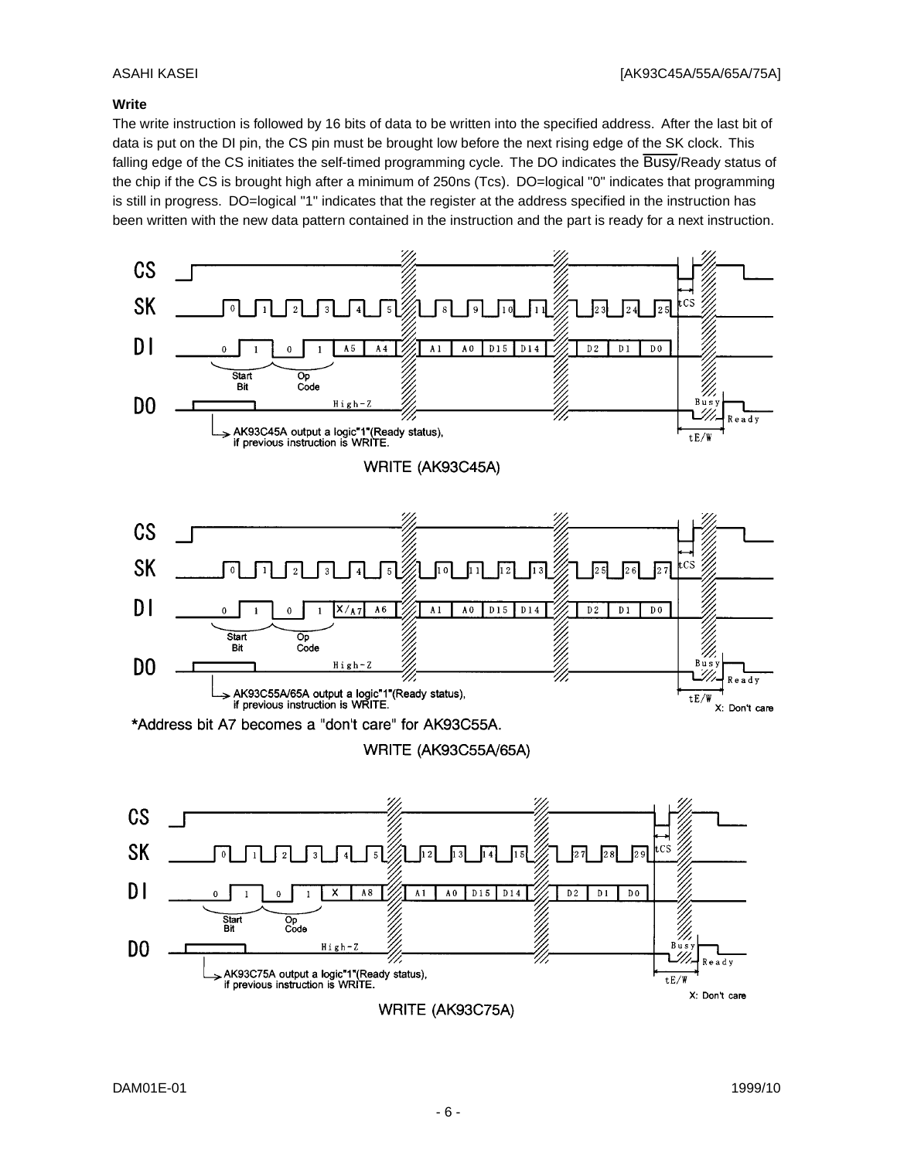#### **Write**

The write instruction is followed by 16 bits of data to be written into the specified address. After the last bit of data is put on the DI pin, the CS pin must be brought low before the next rising edge of the SK clock. This falling edge of the CS initiates the self-timed programming cycle. The DO indicates the Busy/Ready status of the chip if the CS is brought high after a minimum of 250ns (Tcs). DO=logical "0" indicates that programming is still in progress. DO=logical "1" indicates that the register at the address specified in the instruction has been written with the new data pattern contained in the instruction and the part is ready for a next instruction.

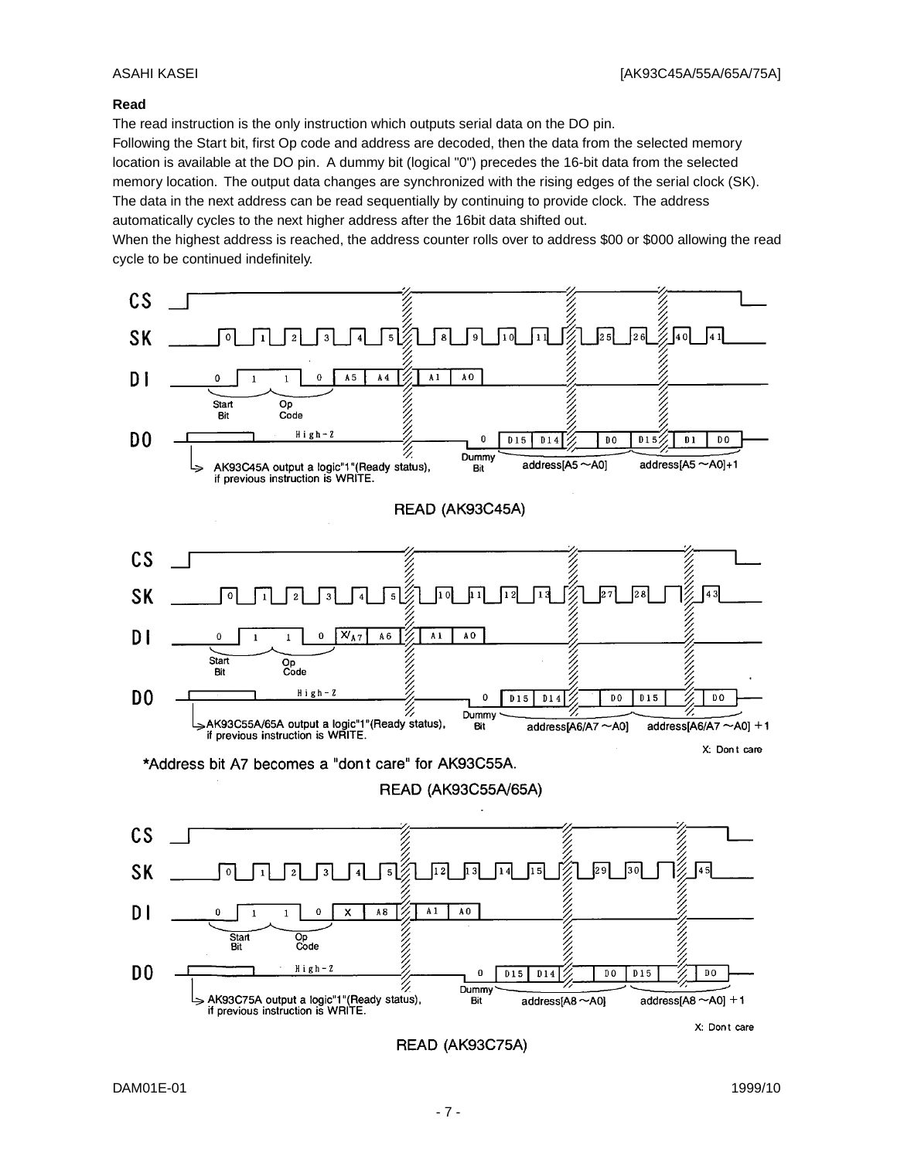#### **Read**

The read instruction is the only instruction which outputs serial data on the DO pin.

Following the Start bit, first Op code and address are decoded, then the data from the selected memory location is available at the DO pin. A dummy bit (logical "0") precedes the 16-bit data from the selected memory location. The output data changes are synchronized with the rising edges of the serial clock (SK). The data in the next address can be read sequentially by continuing to provide clock. The address automatically cycles to the next higher address after the 16bit data shifted out.

When the highest address is reached, the address counter rolls over to address \$00 or \$000 allowing the read cycle to be continued indefinitely.

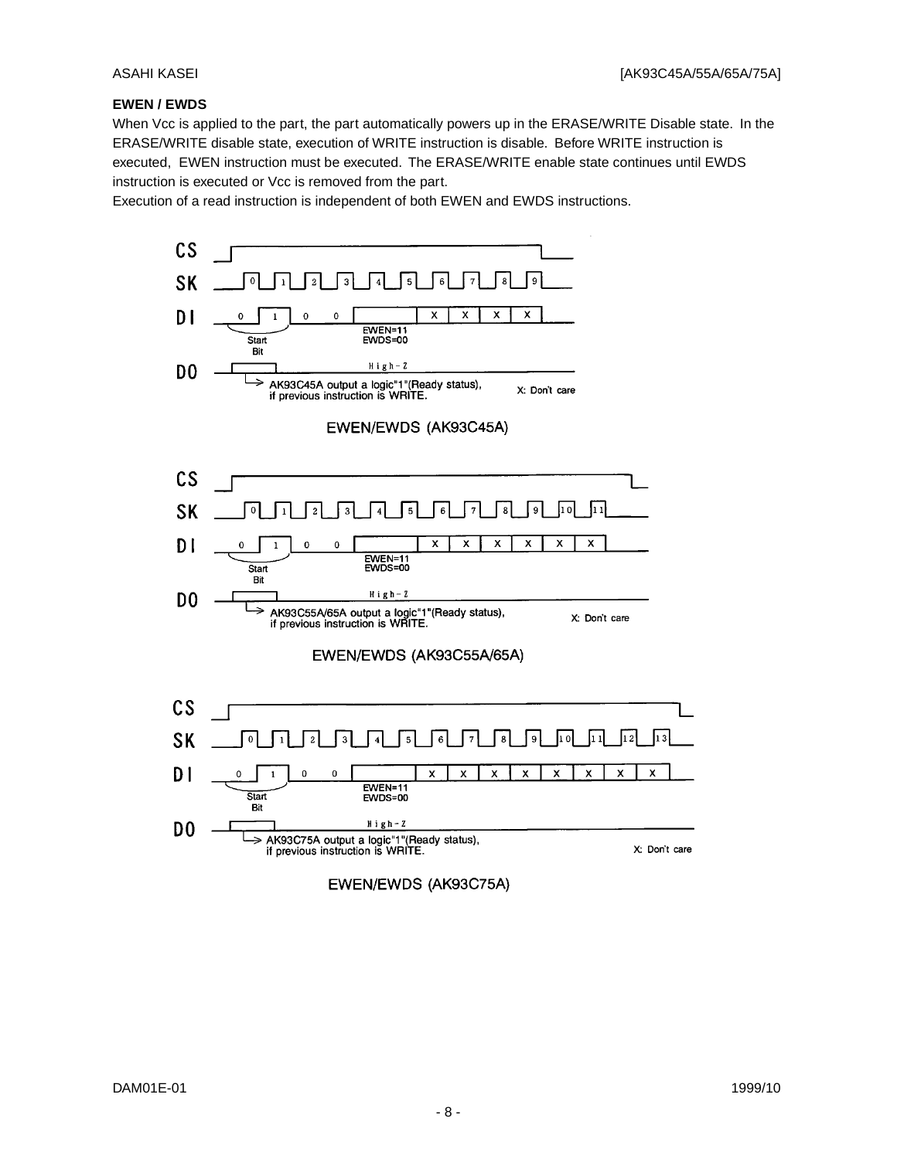#### **EWEN / EWDS**

When Vcc is applied to the part, the part automatically powers up in the ERASE/WRITE Disable state. In the ERASE/WRITE disable state, execution of WRITE instruction is disable. Before WRITE instruction is executed, EWEN instruction must be executed. The ERASE/WRITE enable state continues until EWDS instruction is executed or Vcc is removed from the part.

Execution of a read instruction is independent of both EWEN and EWDS instructions.

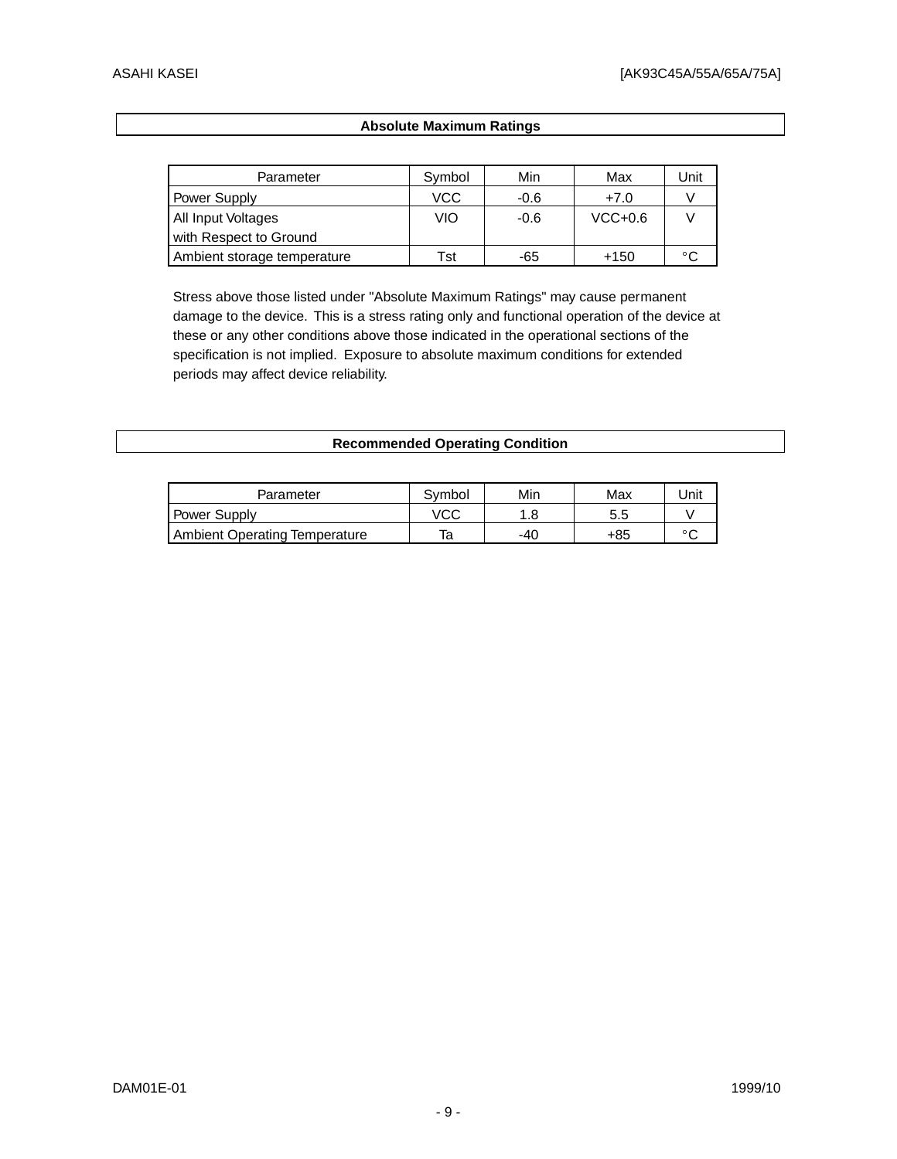### **Absolute Maximum Ratings**

| Parameter                   | Symbol | Min    | Max       | Unit |
|-----------------------------|--------|--------|-----------|------|
| Power Supply                | VCC    | $-0.6$ | $+7.0$    |      |
| All Input Voltages          | VIO    | $-0.6$ | $VCC+0.6$ |      |
| with Respect to Ground      |        |        |           |      |
| Ambient storage temperature | Tst    | -65    | $+150$    | °C   |

Stress above those listed under "Absolute Maximum Ratings" may cause permanent damage to the device. This is a stress rating only and functional operation of the device at these or any other conditions above those indicated in the operational sections of the specification is not implied. Exposure to absolute maximum conditions for extended periods may affect device reliability.

| <b>Recommended Operating Condition</b> |  |  |  |
|----------------------------------------|--|--|--|
|----------------------------------------|--|--|--|

| Parameter                            | Symbol | Min | Max | Jnit           |
|--------------------------------------|--------|-----|-----|----------------|
| <b>Power Supply</b>                  | VCC    |     | 5.5 |                |
| <b>Ambient Operating Temperature</b> | та     | -40 | +85 | $\circ$ $\sim$ |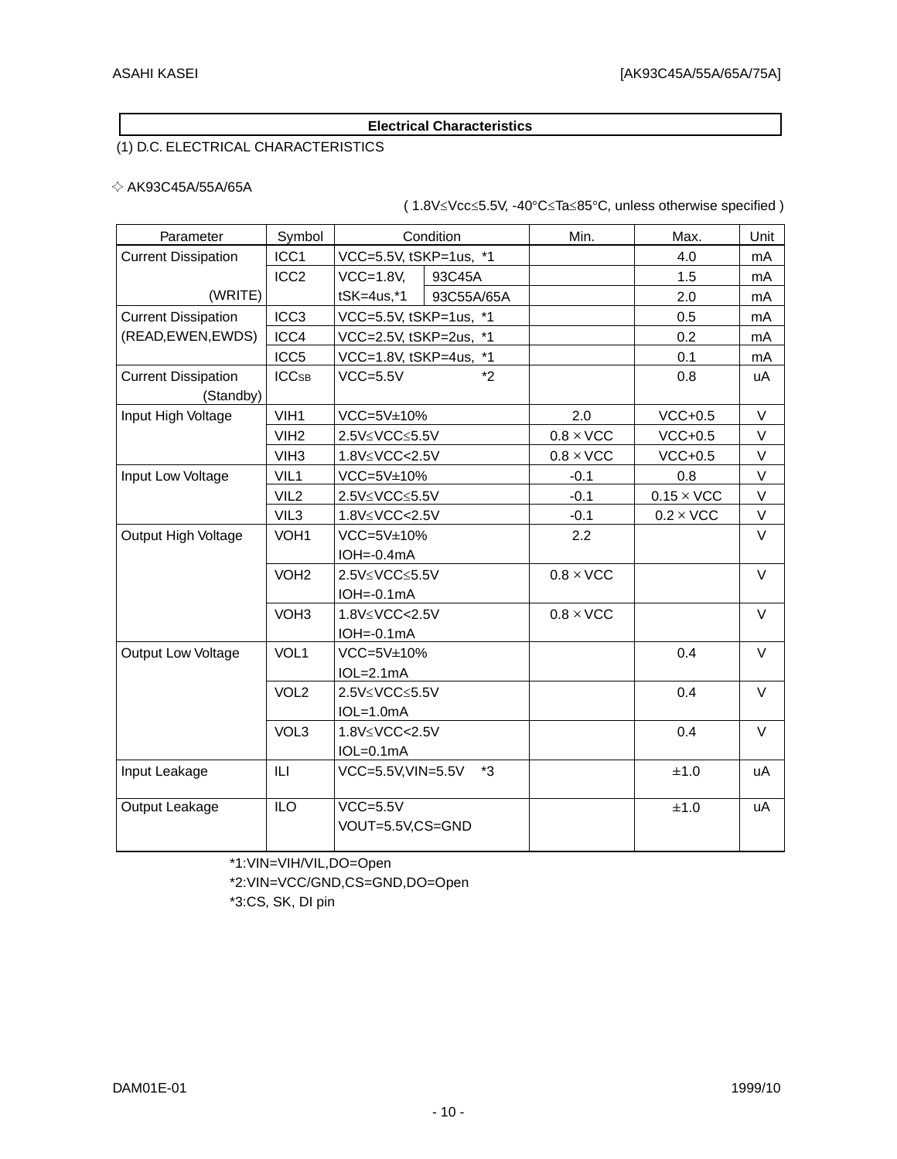#### **Electrical Characteristics**

# (1) D.C. ELECTRICAL CHARACTERISTICS

#### $\diamond$  AK93C45A/55A/65A

(  $1.8V \le Vcc \le 5.5V$ ,  $-40^{\circ}C \le Ta \le 85^{\circ}C$ , unless otherwise specified )

| Parameter                               | Symbol                  | Condition                                                 | Min.             | Max.              | Unit   |
|-----------------------------------------|-------------------------|-----------------------------------------------------------|------------------|-------------------|--------|
| <b>Current Dissipation</b>              | ICC <sub>1</sub>        | VCC=5.5V, tSKP=1us, *1                                    |                  | 4.0               | mA     |
|                                         | ICC <sub>2</sub>        | $VCC=1.8V$<br>93C45A                                      |                  | 1.5               | mA     |
| (WRITE)                                 |                         | tSK=4us,*1<br>93C55A/65A                                  |                  | 2.0               | mA     |
| <b>Current Dissipation</b>              | ICC <sub>3</sub>        | VCC=5.5V, tSKP=1us, *1                                    |                  | 0.5               | mA     |
| (READ, EWEN, EWDS)                      | ICC4                    | VCC=2.5V, tSKP=2us, *1                                    |                  | 0.2               | mA     |
|                                         | ICC <sub>5</sub>        | $*1$<br>VCC=1.8V, tSKP=4us,                               |                  | 0.1               | mA     |
| <b>Current Dissipation</b><br>(Standby) | <b>ICC<sub>SB</sub></b> | $*2$<br>$VCC = 5.5V$                                      |                  | 0.8               | uA     |
| Input High Voltage                      | VIH <sub>1</sub>        | VCC=5V±10%                                                | 2.0              | $VCC+0.5$         | V      |
|                                         | VIH <sub>2</sub>        | 2.5V≤VCC≤5.5V                                             | $0.8 \times$ VCC | $VCC+0.5$         | V      |
|                                         | VIH <sub>3</sub>        | 1.8V≤VCC<2.5V                                             | $0.8 \times$ VCC | $VCC+0.5$         | V      |
| Input Low Voltage                       | VIL1                    | VCC=5V±10%                                                | $-0.1$           | 0.8               | V      |
|                                         | VIL <sub>2</sub>        | 2.5V≤VCC≤5.5V                                             | $-0.1$           | $0.15 \times$ VCC | $\vee$ |
|                                         | VIL <sub>3</sub>        | 1.8V≤VCC<2.5V                                             | $-0.1$           | $0.2 \times$ VCC  | V      |
| Output High Voltage                     | VOH <sub>1</sub>        | VCC=5V±10%<br>2.2                                         |                  |                   | $\vee$ |
|                                         |                         | $IOH = 0.4mA$                                             |                  |                   |        |
|                                         | VOH <sub>2</sub>        | 2.5V≤VCC≤5.5V                                             | $0.8 \times$ VCC |                   | V      |
|                                         |                         | $IOH = 0.1mA$                                             |                  |                   |        |
|                                         | VOH <sub>3</sub>        | 1.8V <vcc<2.5v<br><math>IOH = -0.1mA</math></vcc<2.5v<br> | $0.8 \times$ VCC |                   | $\vee$ |
| Output Low Voltage                      | VOL1                    | $VCC=5V±10%$<br>$IOL=2.1mA$                               |                  | 0.4               | $\vee$ |
|                                         | VOL <sub>2</sub>        | 2.5V≤VCC≤5.5V<br>$IOL=1.0mA$                              |                  | 0.4               | $\vee$ |
|                                         | VOL <sub>3</sub>        | 1.8V <vcc<2.5v<br><math>IOL=0.1mA</math></vcc<2.5v<br>    |                  | 0.4               | $\vee$ |
| Input Leakage                           | IЦ                      | $*3$<br>VCC=5.5V, VIN=5.5V                                |                  | ±1.0              | uA     |
| Output Leakage                          | <b>ILO</b>              | $VCC = 5.5V$<br>VOUT=5.5V,CS=GND                          |                  | ±1.0              | uA     |

\*1:VIN=VIH/VIL,DO=Open

\*2:VIN=VCC/GND,CS=GND,DO=Open

\*3:CS, SK, DI pin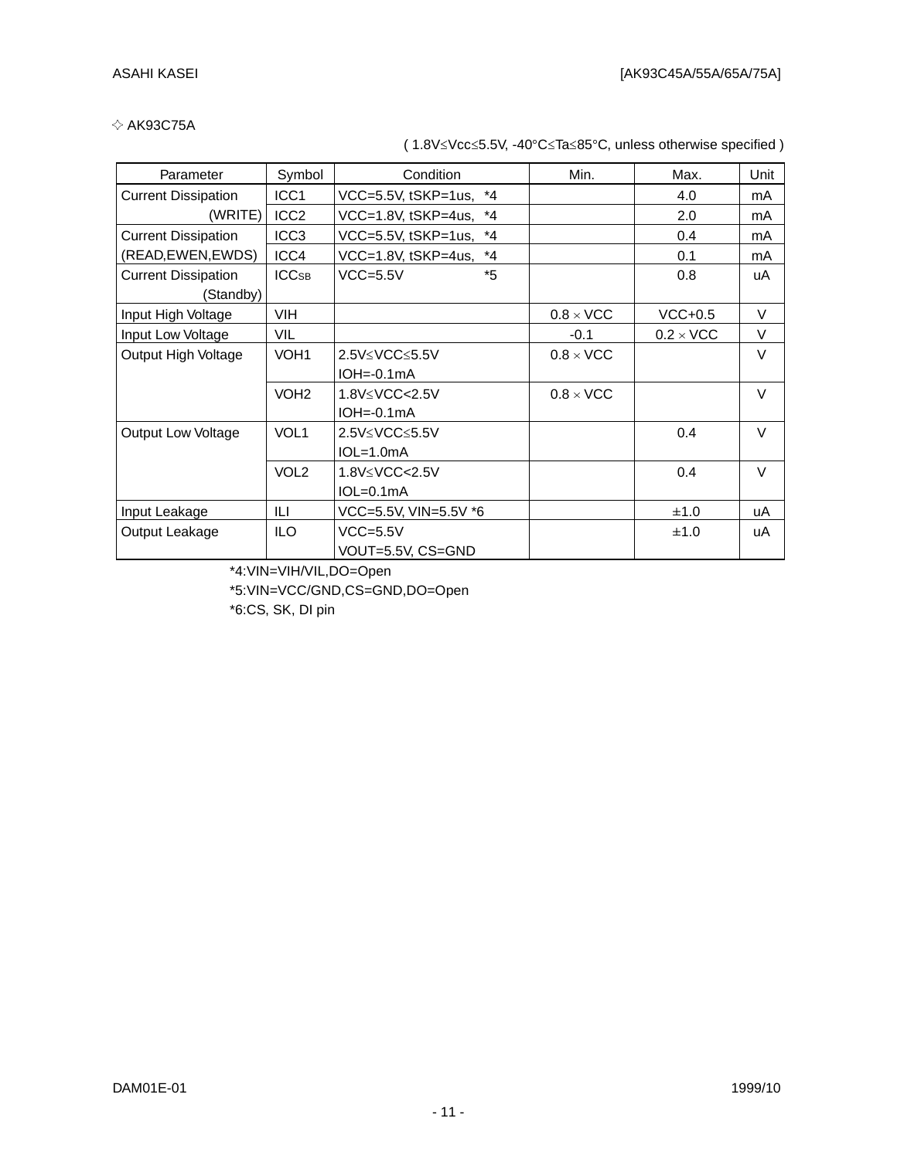### $\diamond$  AK93C75A

(  $1.8V \le Vcc \le 5.5V$ ,  $-40^{\circ}C \le Ta \le 85^{\circ}C$ , unless otherwise specified )

| Parameter                  | Symbol           | Condition                                                                                 | Min.             | Max.             | Unit |
|----------------------------|------------------|-------------------------------------------------------------------------------------------|------------------|------------------|------|
| <b>Current Dissipation</b> | ICC <sub>1</sub> | VCC=5.5V, tSKP=1us, *4                                                                    |                  | 4.0              | mA   |
| (WRITE)                    | ICC <sub>2</sub> | VCC=1.8V, tSKP=4us,<br>$^*4$                                                              |                  | 2.0              | mA   |
| <b>Current Dissipation</b> | ICC <sub>3</sub> | $*_{4}$<br>VCC=5.5V, tSKP=1us,                                                            |                  | 0.4              | mA   |
| (READ, EWEN, EWDS)         | ICC4             | VCC=1.8V, tSKP=4us,<br>$^{\star}$ 4                                                       |                  | 0.1              | mA   |
| <b>Current Dissipation</b> | <b>ICCSB</b>     | *5<br>$VCC = 5.5V$                                                                        |                  | 0.8              | uA   |
| (Standby)                  |                  |                                                                                           |                  |                  |      |
| Input High Voltage         | <b>VIH</b>       |                                                                                           | $0.8 \times$ VCC | $VCC+0.5$        | V    |
| Input Low Voltage          | <b>VIL</b>       |                                                                                           | $-0.1$           | $0.2 \times$ VCC | V    |
| Output High Voltage        | VOH <sub>1</sub> | $2.5V \leq VCC \leq 5.5V$                                                                 | $0.8 \times$ VCC |                  | V    |
|                            |                  | $IOH = 0.1mA$                                                                             |                  |                  |      |
|                            | VOH <sub>2</sub> | 1.8V <vcc<2.5v< td=""><td><math>0.8 \times</math> VCC</td><td></td><td>V</td></vcc<2.5v<> | $0.8 \times$ VCC |                  | V    |
|                            |                  | $IOH = 0.1mA$                                                                             |                  |                  |      |
| <b>Output Low Voltage</b>  | VOL <sub>1</sub> | 2.5V≤VCC≤5.5V                                                                             |                  | 0.4              | V    |
|                            |                  | $IOL=1.0mA$                                                                               |                  |                  |      |
|                            | VOL <sub>2</sub> | 1.8V≤VCC<2.5V                                                                             |                  | 0.4              | V    |
|                            |                  | $IOL=0.1mA$                                                                               |                  |                  |      |
| Input Leakage              | ILI              | VCC=5.5V, VIN=5.5V *6                                                                     |                  | ±1.0             | uA   |
| Output Leakage             | <b>ILO</b>       | $VCC = 5.5V$                                                                              |                  | ±1.0             | uA   |
|                            |                  | VOUT=5.5V, CS=GND                                                                         |                  |                  |      |

\*4:VIN=VIH/VIL,DO=Open

\*5:VIN=VCC/GND,CS=GND,DO=Open

\*6:CS, SK, DI pin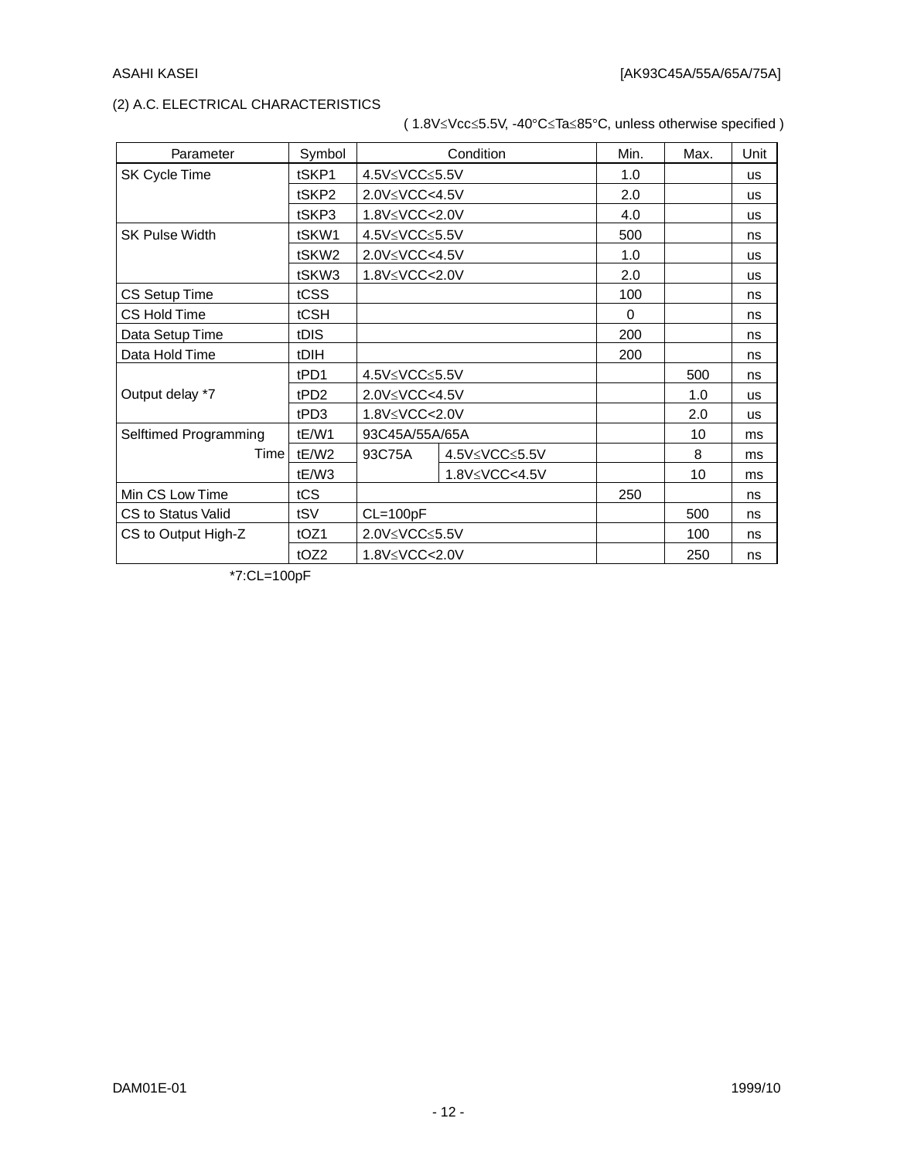### (2) A.C. ELECTRICAL CHARACTERISTICS

# (  $1.8V\leq$ Vcc $\leq$ 5.5V, -40°C $\leq$ Ta $\leq$ 85°C, unless otherwise specified )

| Parameter             | Symbol            |                | Condition     | Min.     | Max. | Unit      |
|-----------------------|-------------------|----------------|---------------|----------|------|-----------|
| SK Cycle Time         | tSKP1             | 4.5V≤VCC≤5.5V  |               | 1.0      |      | <b>us</b> |
|                       | tSKP2             | 2.0V≤VCC<4.5V  |               | 2.0      |      | <b>us</b> |
|                       | tSKP3             | 1.8V≤VCC<2.0V  |               | 4.0      |      | <b>US</b> |
| <b>SK Pulse Width</b> | tSKW1             | 4.5V≤VCC≤5.5V  |               | 500      |      | ns        |
|                       | tSKW <sub>2</sub> | 2.0V≤VCC<4.5V  |               | 1.0      |      | <b>us</b> |
|                       | tSKW3             | 1.8V≤VCC<2.0V  |               | 2.0      |      | <b>us</b> |
| CS Setup Time         | tCSS              |                |               | 100      |      | ns        |
| CS Hold Time          | tCSH              |                |               | $\Omega$ |      | ns        |
| Data Setup Time       | tDIS              |                |               | 200      |      | ns        |
| Data Hold Time        | tDIH              |                |               | 200      |      | ns        |
|                       | tPD1              | 4.5V≤VCC≤5.5V  |               |          | 500  | ns        |
| Output delay *7       | tPD <sub>2</sub>  | 2.0V≤VCC<4.5V  |               |          | 1.0  | <b>us</b> |
|                       | tPD3              | 1.8V≤VCC<2.0V  |               |          | 2.0  | <b>us</b> |
| Selftimed Programming | tE/W1             | 93C45A/55A/65A |               |          | 10   | ms        |
| Time                  | tE/W2             | 93C75A         | 4.5V≤VCC≤5.5V |          | 8    | ms        |
|                       | tE/W3             |                | 1.8V≤VCC<4.5V |          | 10   | ms        |
| Min CS Low Time       | tCS               |                |               | 250      |      | ns        |
| CS to Status Valid    | tSV               | $CL=100pF$     |               |          | 500  | ns        |
| CS to Output High-Z   | tOZ1              | 2.0V≤VCC≤5.5V  |               |          | 100  | ns        |
|                       | tOZ2              | 1.8V≤VCC<2.0V  |               |          | 250  | ns        |

\*7:CL=100pF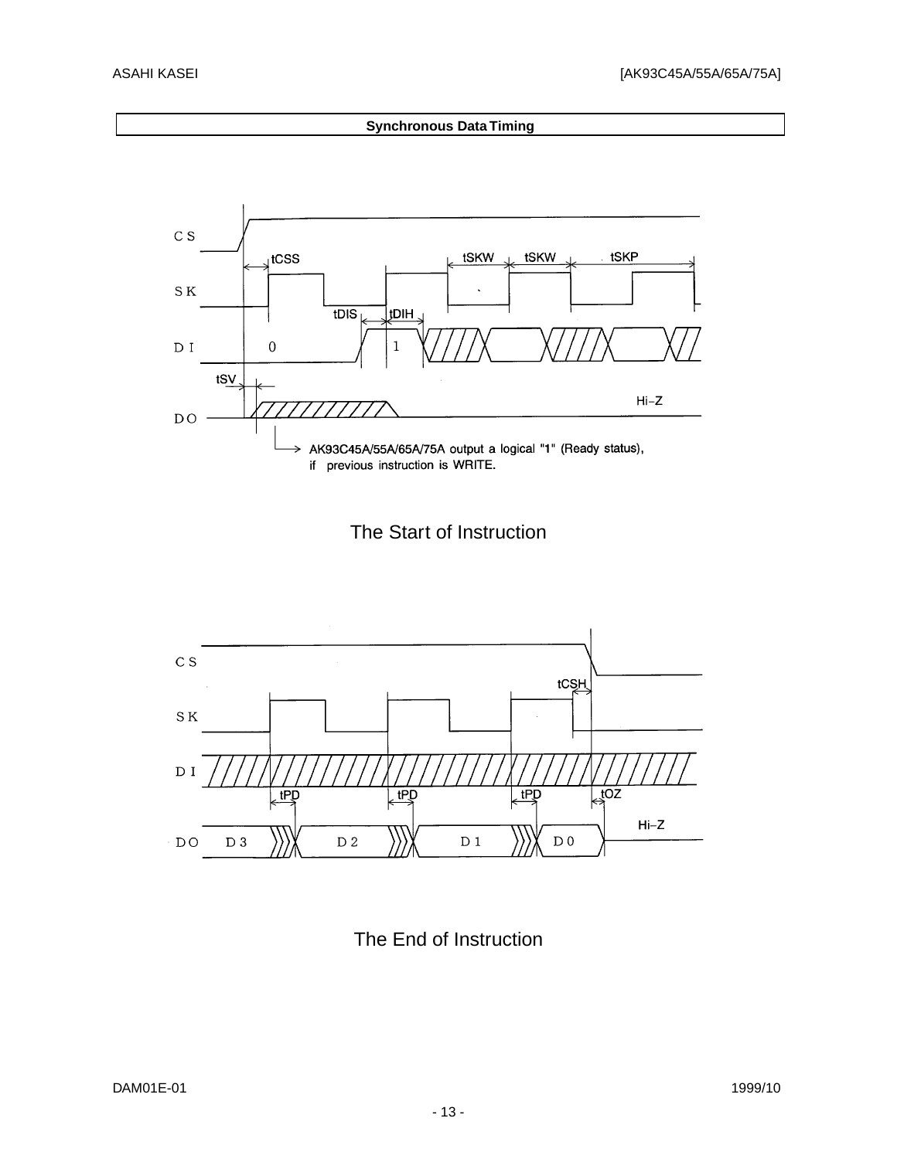#### **Synchronous Data Timing**



The Start of Instruction



The End of Instruction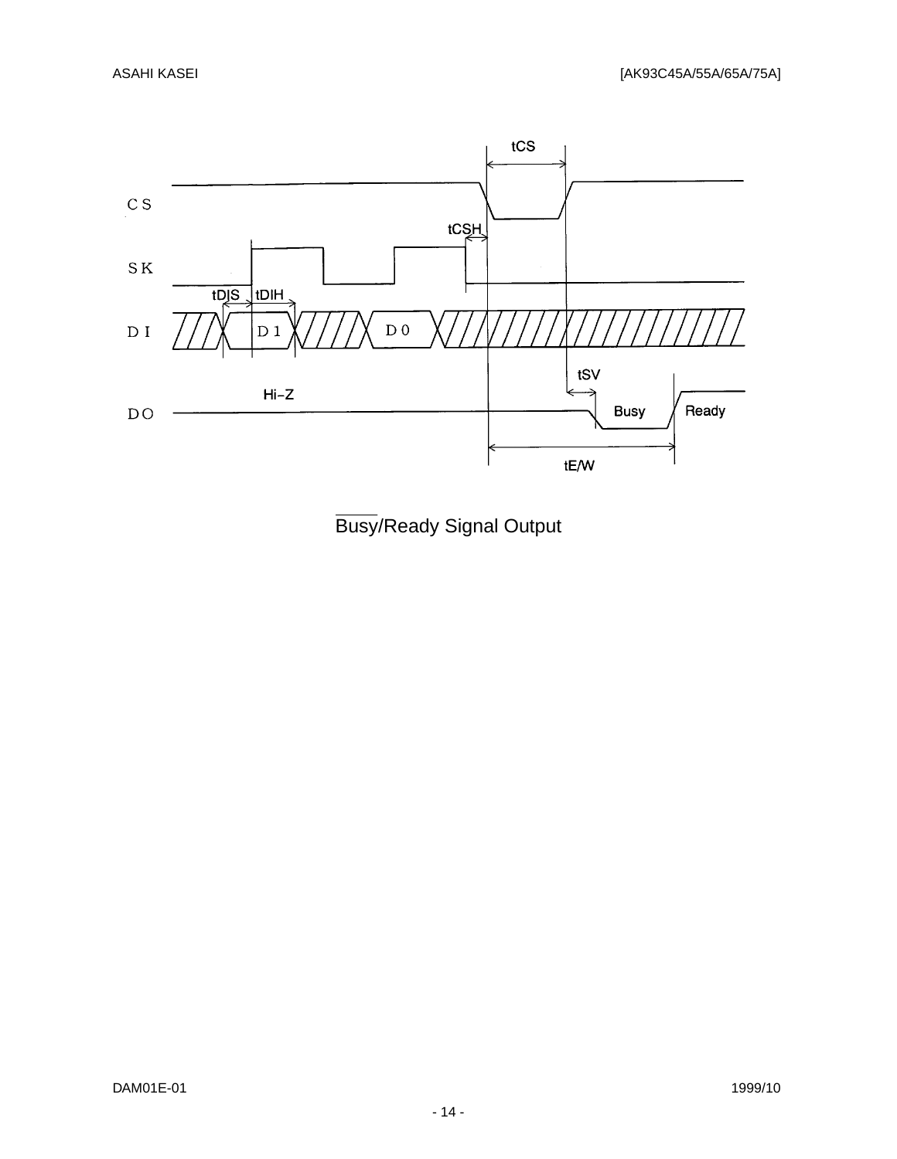

Busy/Ready Signal Output